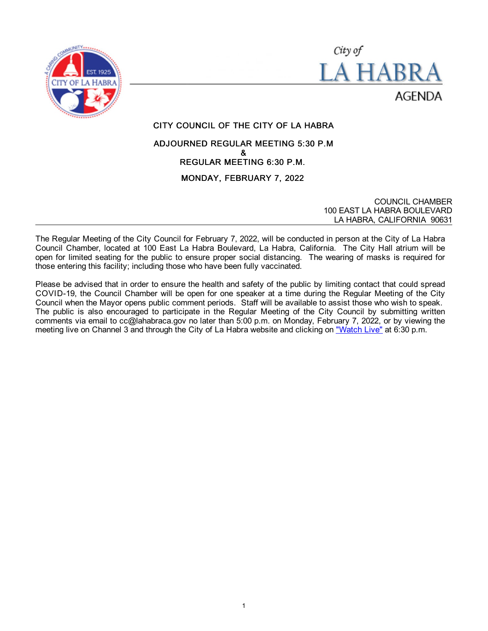



CITY COUNCIL OF THE CITY OF LA HABRA

# ADJOURNED REGULAR MEETING 5:30 P.M & REGULAR MEETING 6:30 P.M. MONDAY, FEBRUARY 7, 2022

COUNCIL CHAMBER 100 EAST LA HABRA BOULEVARD LA HABRA, CALIFORNIA 90631

The Regular Meeting of the City Council for February 7, 2022, will be conducted in person at the City of La Habra Council Chamber, located at 100 East La Habra Boulevard, La Habra, California. The City Hall atrium will be open for limited seating for the public to ensure proper social distancing. The wearing of masks is required for those entering this facility; including those who have been fully vaccinated.

Please be advised that in order to ensure the health and safety of the public by limiting contact that could spread COVID-19, the Council Chamber will be open for one speaker at a time during the Regular Meeting of the City Council when the Mayor opens public comment periods. Staff will be available to assist those who wish to speak. The public is also encouraged to participate in the Regular Meeting of the City Council by submitting written comments via email to cc@lahabraca.gov no later than 5:00 p.m. on Monday, February 7, 2022, or by viewing the meeting live on Channel 3 and through the City of La Habra website and clicking on ["Watch Live"](https://www.lahabraca.gov/356/Archived-Council-Videos) at 6:30 p.m.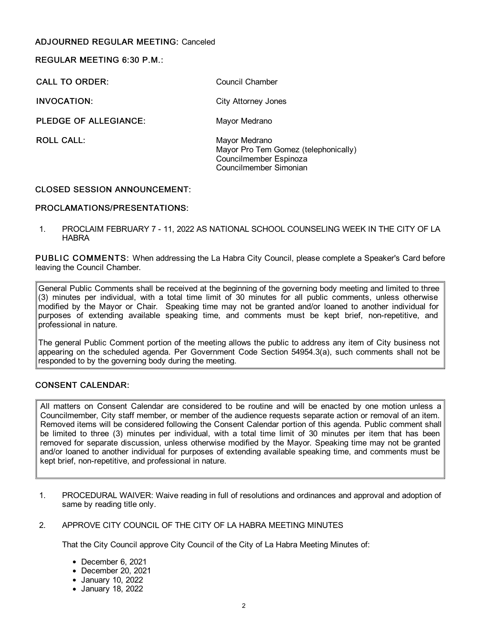# ADJOURNED REGULAR MEETING: Canceled

### REGULAR MEETING 6:30 P.M.:

CALL TO ORDER: CALL TO ORDER:

INVOCATION: City Attorney Jones

PLEDGE OF ALLEGIANCE: Mayor Medrano

ROLL CALL: Mayor Medrano Mayor Pro Tem Gomez (telephonically) Councilmember Espinoza

Councilmember Simonian

# CLOSED SESSION ANNOUNCEMENT:

# PROCLAMATIONS/PRESENTATIONS:

1. PROCLAIM FEBRUARY 7 - 11, 2022 AS NATIONAL SCHOOL COUNSELING WEEK IN THE CITY OF LA HABRA

PUBLIC COMMENTS: When addressing the La Habra City Council, please complete a Speaker's Card before leaving the Council Chamber.

General Public Comments shall be received at the beginning of the governing body meeting and limited to three (3) minutes per individual, with a total time limit of 30 minutes for all public comments, unless otherwise modified by the Mayor or Chair. Speaking time may not be granted and/or loaned to another individual for purposes of extending available speaking time, and comments must be kept brief, non-repetitive, and professional in nature.

The general Public Comment portion of the meeting allows the public to address any item of City business not appearing on the scheduled agenda. Per Government Code Section 54954.3(a), such comments shall not be responded to by the governing body during the meeting.

# CONSENT CALENDAR:

All matters on Consent Calendar are considered to be routine and will be enacted by one motion unless a Councilmember, City staff member, or member of the audience requests separate action or removal of an item. Removed items will be considered following the Consent Calendar portion of this agenda. Public comment shall be limited to three (3) minutes per individual, with a total time limit of 30 minutes per item that has been removed for separate discussion, unless otherwise modified by the Mayor. Speaking time may not be granted and/or loaned to another individual for purposes of extending available speaking time, and comments must be kept brief, non-repetitive, and professional in nature.

- 1. PROCEDURAL WAIVER: Waive reading in full of resolutions and ordinances and approval and adoption of same by reading title only.
- 2. APPROVE CITY COUNCIL OF THE CITY OF LA HABRA MEETING MINUTES

That the City Council approve City Council of the City of La Habra Meeting Minutes of:

- December 6, 2021
- December 20, 2021
- January 10, 2022
- January 18, 2022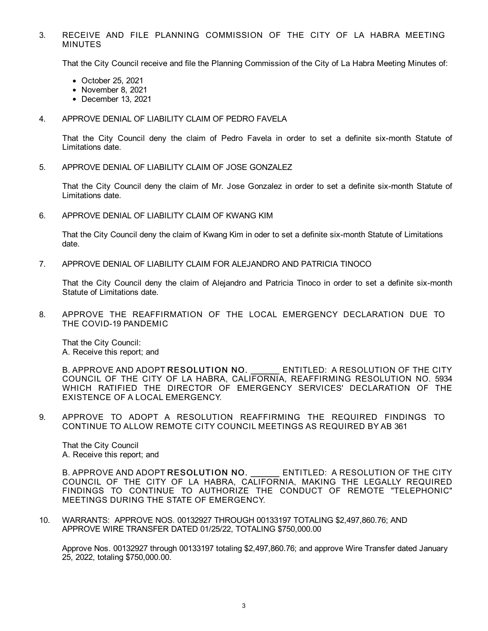### 3. RECEIVE AND FILE PLANNING COMMISSION OF THE CITY OF LA HABRA MEETING MINUTES

That the City Council receive and file the Planning Commission of the City of La Habra Meeting Minutes of:

- October 25, 2021
- November 8, 2021
- December 13, 2021

#### 4. APPROVE DENIAL OF LIABILITY CLAIM OF PEDRO FAVELA

That the City Council deny the claim of Pedro Favela in order to set a definite six-month Statute of Limitations date.

5. APPROVE DENIAL OF LIABILITY CLAIM OF JOSE GONZALEZ

That the City Council deny the claim of Mr. Jose Gonzalez in order to set a definite six-month Statute of Limitations date.

6. APPROVE DENIAL OF LIABILITY CLAIM OF KWANG KIM

That the City Council deny the claim of Kwang Kim in oder to set a definite six-month Statute of Limitations date.

7. APPROVE DENIAL OF LIABILITY CLAIM FOR ALEJANDRO AND PATRICIA TINOCO

That the City Council deny the claim of Alejandro and Patricia Tinoco in order to set a definite six-month Statute of Limitations date.

8. APPROVE THE REAFFIRMATION OF THE LOCAL EMERGENCY DECLARATION DUE TO THE COVID-19 PANDEMIC

That the City Council: A. Receive this report; and

B. APPROVE AND ADOPT RESOLUTION NO. ENTITLED: A RESOLUTION OF THE CITY COUNCIL OF THE CITY OF LA HABRA, CALIFORNIA, REAFFIRMING RESOLUTION NO. 5934 WHICH RATIFIED THE DIRECTOR OF EMERGENCY SERVICES' DECLARATION OF THE EXISTENCE OF A LOCAL EMERGENCY.

9. APPROVE TO ADOPT A RESOLUTION REAFFIRMING THE REQUIRED FINDINGS TO CONTINUE TO ALLOW REMOTE CITY COUNCIL MEETINGS AS REQUIRED BY AB 361

That the City Council A. Receive this report; and

B. APPROVE AND ADOPT RESOLUTION NO. ENTITLED: A RESOLUTION OF THE CITY COUNCIL OF THE CITY OF LA HABRA, CALIFORNIA, MAKING THE LEGALLY REQUIRED FINDINGS TO CONTINUE TO AUTHORIZE THE CONDUCT OF REMOTE "TELEPHONIC" MEETINGS DURING THE STATE OF EMERGENCY.

10. WARRANTS: APPROVE NOS. 00132927 THROUGH 00133197 TOTALING \$2,497,860.76; AND APPROVE WIRE TRANSFER DATED 01/25/22, TOTALING \$750,000.00

Approve Nos. 00132927 through 00133197 totaling \$2,497,860.76; and approve Wire Transfer dated January 25, 2022, totaling \$750,000.00.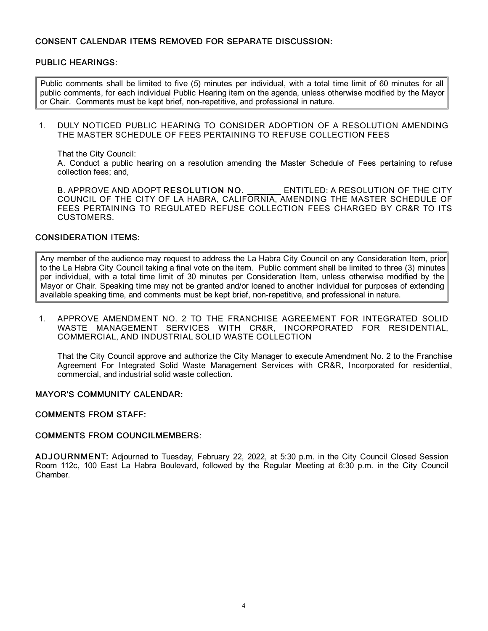## CONSENT CALENDAR ITEMS REMOVED FOR SEPARATE DISCUSSION:

### PUBLIC HEARINGS:

Public comments shall be limited to five (5) minutes per individual, with a total time limit of 60 minutes for all public comments, for each individual Public Hearing item on the agenda, unless otherwise modified by the Mayor or Chair. Comments must be kept brief, non-repetitive, and professional in nature.

1. DULY NOTICED PUBLIC HEARING TO CONSIDER ADOPTION OF A RESOLUTION AMENDING THE MASTER SCHEDULE OF FEES PERTAINING TO REFUSE COLLECTION FEES

That the City Council:

A. Conduct a public hearing on a resolution amending the Master Schedule of Fees pertaining to refuse collection fees; and,

B. APPROVE AND ADOPT RESOLUTION NO. \_\_\_\_\_\_\_\_ ENTITLED: A RESOLUTION OF THE CITY COUNCIL OF THE CITY OF LA HABRA, CALIFORNIA, AMENDING THE MASTER SCHEDULE OF FEES PERTAINING TO REGULATED REFUSE COLLECTION FEES CHARGED BY CR&R TO ITS CUSTOMERS.

### CONSIDERATION ITEMS:

Any member of the audience may request to address the La Habra City Council on any Consideration Item, prior to the La Habra City Council taking a final vote on the item. Public comment shall be limited to three (3) minutes per individual, with a total time limit of 30 minutes per Consideration Item, unless otherwise modified by the Mayor or Chair. Speaking time may not be granted and/or loaned to another individual for purposes of extending available speaking time, and comments must be kept brief, non-repetitive, and professional in nature.

1. APPROVE AMENDMENT NO. 2 TO THE FRANCHISE AGREEMENT FOR INTEGRATED SOLID WASTE MANAGEMENT SERVICES WITH CR&R, INCORPORATED FOR RESIDENTIAL, COMMERCIAL, AND INDUSTRIAL SOLID WASTE COLLECTION

That the City Council approve and authorize the City Manager to execute Amendment No. 2 to the Franchise Agreement For Integrated Solid Waste Management Services with CR&R, Incorporated for residential, commercial, and industrial solid waste collection.

### MAYOR'S COMMUNITY CALENDAR:

#### COMMENTS FROM STAFF:

#### COMMENTS FROM COUNCILMEMBERS:

ADJ OURNMENT: Adjourned to Tuesday, February 22, 2022, at 5:30 p.m. in the City Council Closed Session Room 112c, 100 East La Habra Boulevard, followed by the Regular Meeting at 6:30 p.m. in the City Council Chamber.